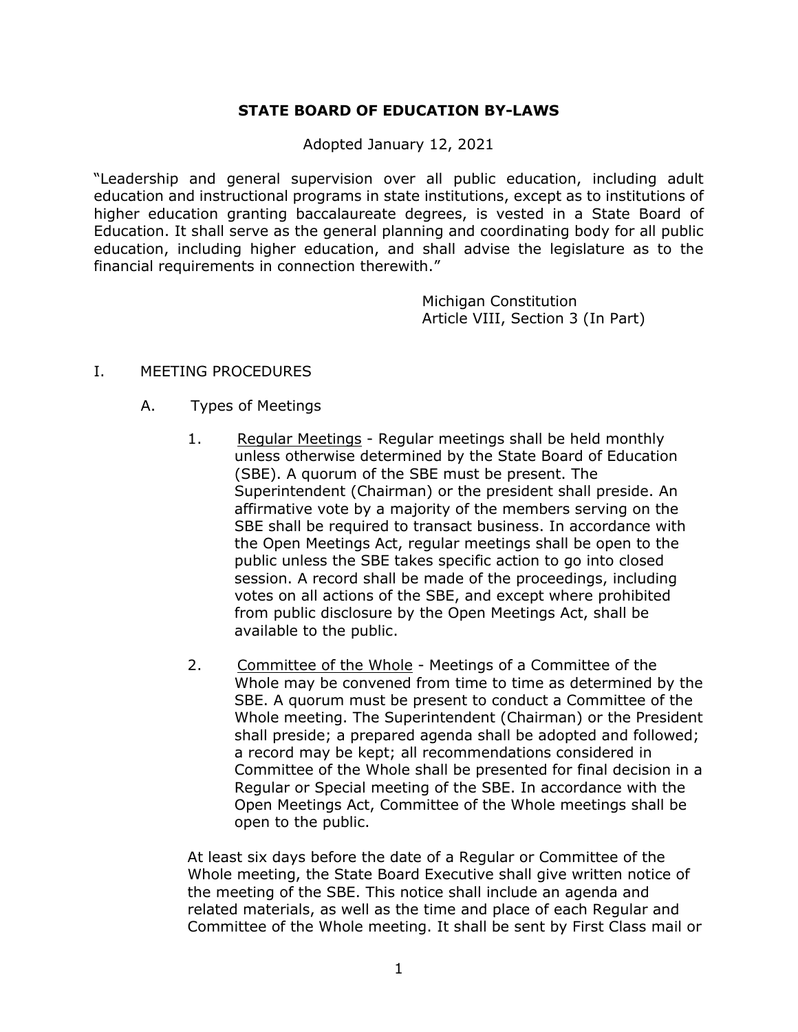# **STATE BOARD OF EDUCATION BY-LAWS**

Adopted January 12, 2021

"Leadership and general supervision over all public education, including adult education and instructional programs in state institutions, except as to institutions of higher education granting baccalaureate degrees, is vested in a State Board of Education. It shall serve as the general planning and coordinating body for all public education, including higher education, and shall advise the legislature as to the financial requirements in connection therewith."

> Michigan Constitution Article VIII, Section 3 (In Part)

#### I. MEETING PROCEDURES

- A. Types of Meetings
	- 1. Regular Meetings Regular meetings shall be held monthly unless otherwise determined by the State Board of Education (SBE). A quorum of the SBE must be present. The Superintendent (Chairman) or the president shall preside. An affirmative vote by a majority of the members serving on the SBE shall be required to transact business. In accordance with the Open Meetings Act, regular meetings shall be open to the public unless the SBE takes specific action to go into closed session. A record shall be made of the proceedings, including votes on all actions of the SBE, and except where prohibited from public disclosure by the Open Meetings Act, shall be available to the public.
	- 2. Committee of the Whole Meetings of a Committee of the Whole may be convened from time to time as determined by the SBE. A quorum must be present to conduct a Committee of the Whole meeting. The Superintendent (Chairman) or the President shall preside; a prepared agenda shall be adopted and followed; a record may be kept; all recommendations considered in Committee of the Whole shall be presented for final decision in a Regular or Special meeting of the SBE. In accordance with the Open Meetings Act, Committee of the Whole meetings shall be open to the public.

At least six days before the date of a Regular or Committee of the Whole meeting, the State Board Executive shall give written notice of the meeting of the SBE. This notice shall include an agenda and related materials, as well as the time and place of each Regular and Committee of the Whole meeting. It shall be sent by First Class mail or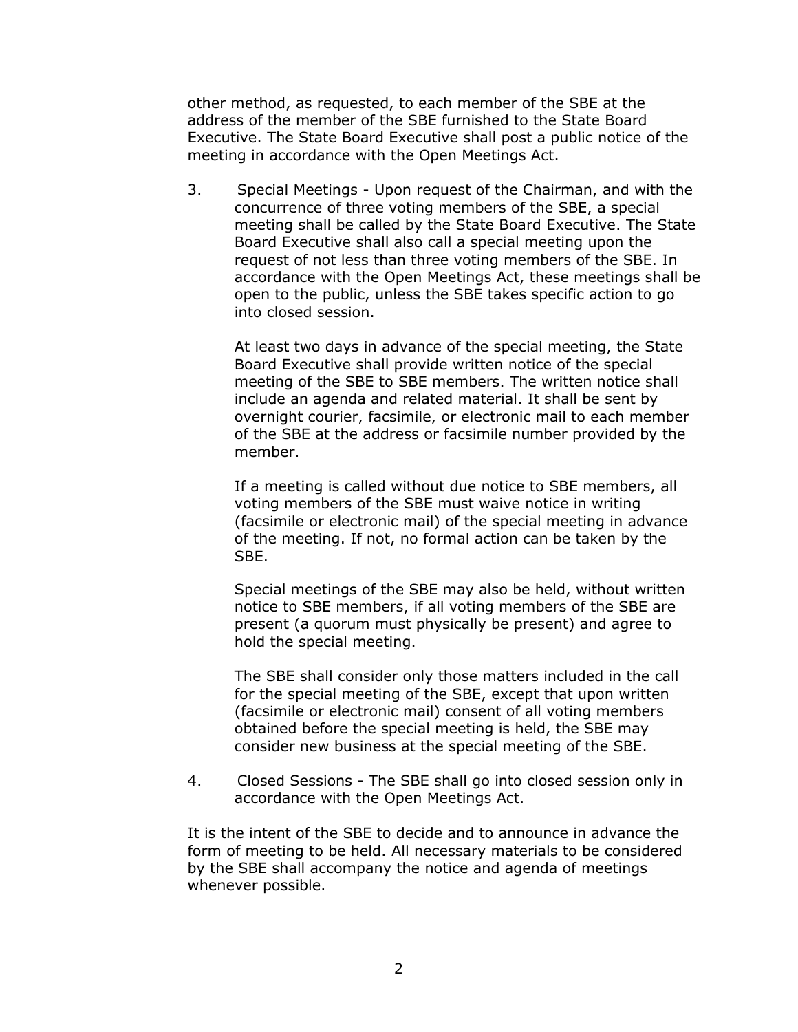other method, as requested, to each member of the SBE at the address of the member of the SBE furnished to the State Board Executive. The State Board Executive shall post a public notice of the meeting in accordance with the Open Meetings Act.

3. Special Meetings - Upon request of the Chairman, and with the concurrence of three voting members of the SBE, a special meeting shall be called by the State Board Executive. The State Board Executive shall also call a special meeting upon the request of not less than three voting members of the SBE. In accordance with the Open Meetings Act, these meetings shall be open to the public, unless the SBE takes specific action to go into closed session.

At least two days in advance of the special meeting, the State Board Executive shall provide written notice of the special meeting of the SBE to SBE members. The written notice shall include an agenda and related material. It shall be sent by overnight courier, facsimile, or electronic mail to each member of the SBE at the address or facsimile number provided by the member.

If a meeting is called without due notice to SBE members, all voting members of the SBE must waive notice in writing (facsimile or electronic mail) of the special meeting in advance of the meeting. If not, no formal action can be taken by the SBE.

Special meetings of the SBE may also be held, without written notice to SBE members, if all voting members of the SBE are present (a quorum must physically be present) and agree to hold the special meeting.

The SBE shall consider only those matters included in the call for the special meeting of the SBE, except that upon written (facsimile or electronic mail) consent of all voting members obtained before the special meeting is held, the SBE may consider new business at the special meeting of the SBE.

4. Closed Sessions - The SBE shall go into closed session only in accordance with the Open Meetings Act.

It is the intent of the SBE to decide and to announce in advance the form of meeting to be held. All necessary materials to be considered by the SBE shall accompany the notice and agenda of meetings whenever possible.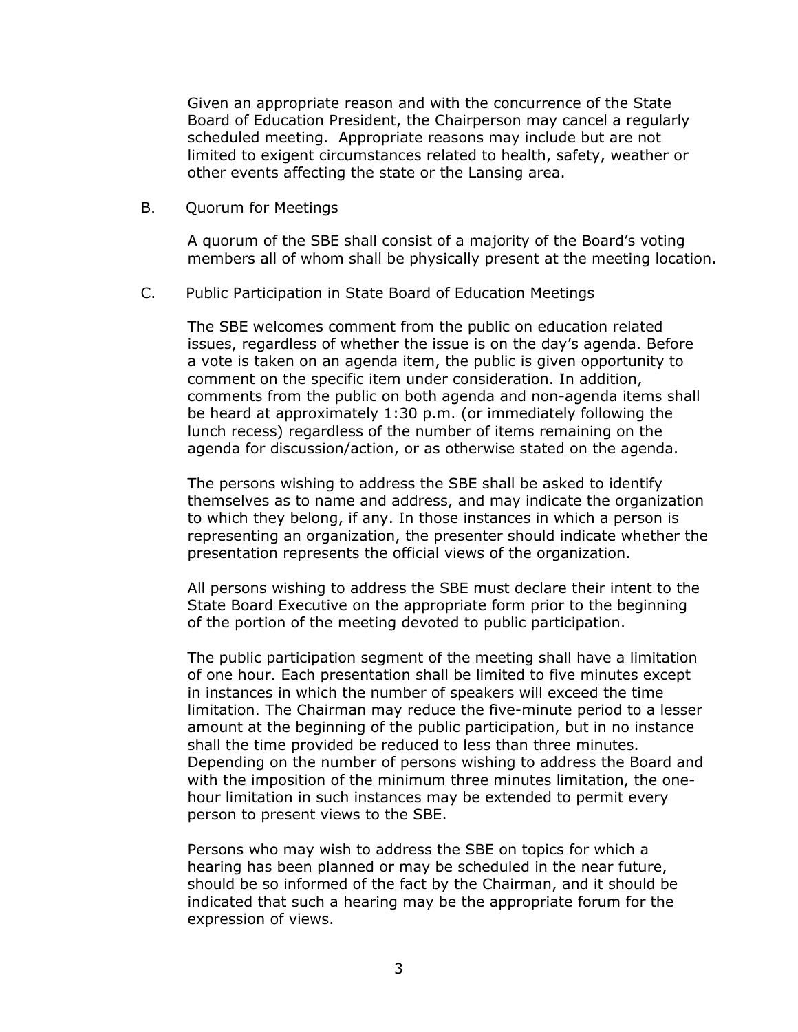Given an appropriate reason and with the concurrence of the State Board of Education President, the Chairperson may cancel a regularly scheduled meeting. Appropriate reasons may include but are not limited to exigent circumstances related to health, safety, weather or other events affecting the state or the Lansing area.

B. Quorum for Meetings

A quorum of the SBE shall consist of a majority of the Board's voting members all of whom shall be physically present at the meeting location.

C. Public Participation in State Board of Education Meetings

The SBE welcomes comment from the public on education related issues, regardless of whether the issue is on the day's agenda. Before a vote is taken on an agenda item, the public is given opportunity to comment on the specific item under consideration. In addition, comments from the public on both agenda and non-agenda items shall be heard at approximately 1:30 p.m. (or immediately following the lunch recess) regardless of the number of items remaining on the agenda for discussion/action, or as otherwise stated on the agenda.

The persons wishing to address the SBE shall be asked to identify themselves as to name and address, and may indicate the organization to which they belong, if any. In those instances in which a person is representing an organization, the presenter should indicate whether the presentation represents the official views of the organization.

All persons wishing to address the SBE must declare their intent to the State Board Executive on the appropriate form prior to the beginning of the portion of the meeting devoted to public participation.

The public participation segment of the meeting shall have a limitation of one hour. Each presentation shall be limited to five minutes except in instances in which the number of speakers will exceed the time limitation. The Chairman may reduce the five-minute period to a lesser amount at the beginning of the public participation, but in no instance shall the time provided be reduced to less than three minutes. Depending on the number of persons wishing to address the Board and with the imposition of the minimum three minutes limitation, the onehour limitation in such instances may be extended to permit every person to present views to the SBE.

Persons who may wish to address the SBE on topics for which a hearing has been planned or may be scheduled in the near future, should be so informed of the fact by the Chairman, and it should be indicated that such a hearing may be the appropriate forum for the expression of views.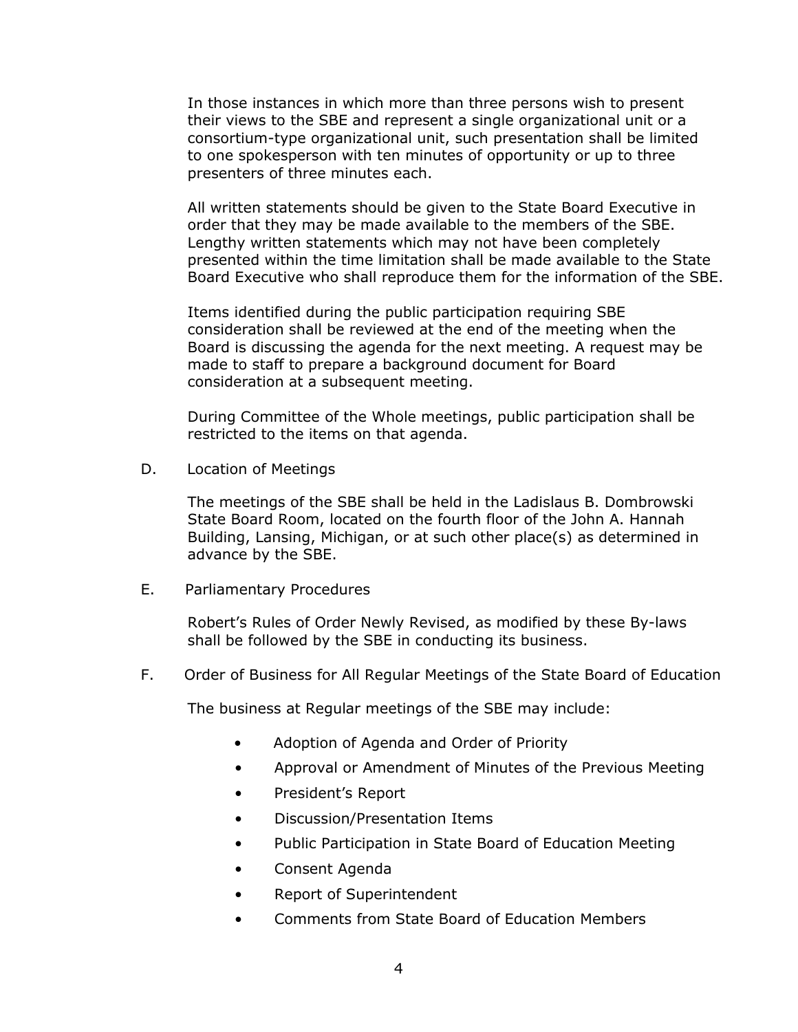In those instances in which more than three persons wish to present their views to the SBE and represent a single organizational unit or a consortium-type organizational unit, such presentation shall be limited to one spokesperson with ten minutes of opportunity or up to three presenters of three minutes each.

All written statements should be given to the State Board Executive in order that they may be made available to the members of the SBE. Lengthy written statements which may not have been completely presented within the time limitation shall be made available to the State Board Executive who shall reproduce them for the information of the SBE.

Items identified during the public participation requiring SBE consideration shall be reviewed at the end of the meeting when the Board is discussing the agenda for the next meeting. A request may be made to staff to prepare a background document for Board consideration at a subsequent meeting.

During Committee of the Whole meetings, public participation shall be restricted to the items on that agenda.

D. Location of Meetings

The meetings of the SBE shall be held in the Ladislaus B. Dombrowski State Board Room, located on the fourth floor of the John A. Hannah Building, Lansing, Michigan, or at such other place(s) as determined in advance by the SBE.

E. Parliamentary Procedures

Robert's Rules of Order Newly Revised, as modified by these By-laws shall be followed by the SBE in conducting its business.

F. Order of Business for All Regular Meetings of the State Board of Education

The business at Regular meetings of the SBE may include:

- Adoption of Agenda and Order of Priority
- Approval or Amendment of Minutes of the Previous Meeting
- President's Report
- Discussion/Presentation Items
- Public Participation in State Board of Education Meeting
- Consent Agenda
- Report of Superintendent
- Comments from State Board of Education Members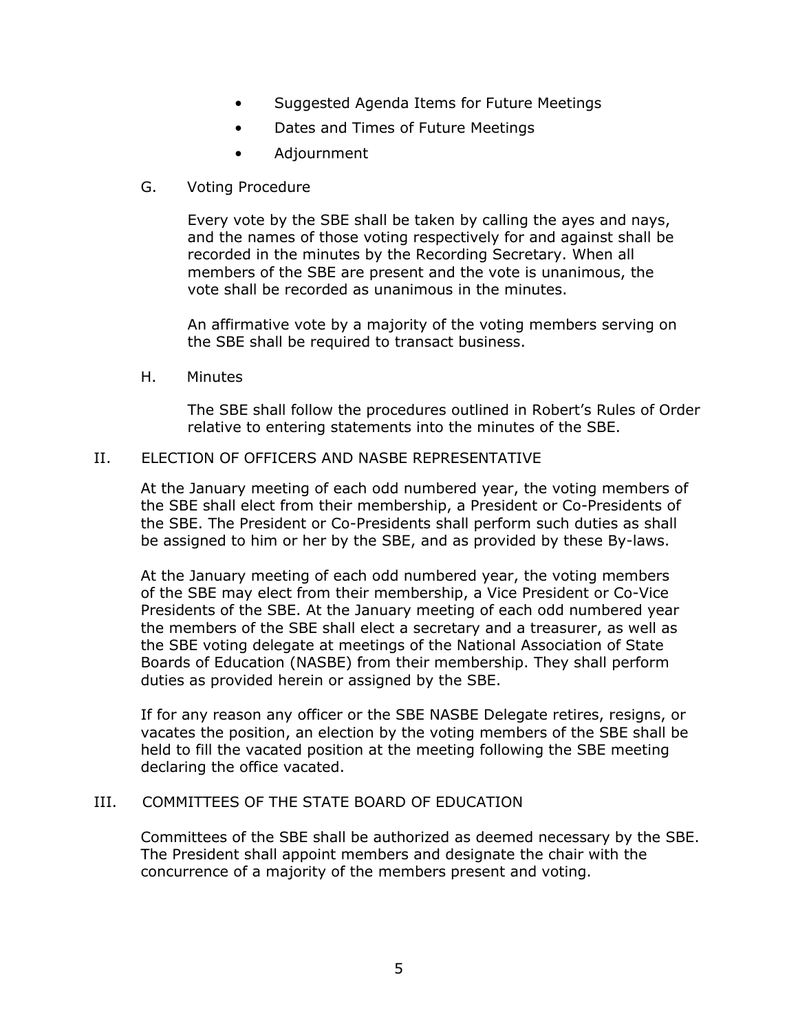- Suggested Agenda Items for Future Meetings
- Dates and Times of Future Meetings
- Adjournment
- G. Voting Procedure

Every vote by the SBE shall be taken by calling the ayes and nays, and the names of those voting respectively for and against shall be recorded in the minutes by the Recording Secretary. When all members of the SBE are present and the vote is unanimous, the vote shall be recorded as unanimous in the minutes.

An affirmative vote by a majority of the voting members serving on the SBE shall be required to transact business.

H. Minutes

The SBE shall follow the procedures outlined in Robert's Rules of Order relative to entering statements into the minutes of the SBE.

### II. ELECTION OF OFFICERS AND NASBE REPRESENTATIVE

At the January meeting of each odd numbered year, the voting members of the SBE shall elect from their membership, a President or Co-Presidents of the SBE. The President or Co-Presidents shall perform such duties as shall be assigned to him or her by the SBE, and as provided by these By-laws.

At the January meeting of each odd numbered year, the voting members of the SBE may elect from their membership, a Vice President or Co-Vice Presidents of the SBE. At the January meeting of each odd numbered year the members of the SBE shall elect a secretary and a treasurer, as well as the SBE voting delegate at meetings of the National Association of State Boards of Education (NASBE) from their membership. They shall perform duties as provided herein or assigned by the SBE.

If for any reason any officer or the SBE NASBE Delegate retires, resigns, or vacates the position, an election by the voting members of the SBE shall be held to fill the vacated position at the meeting following the SBE meeting declaring the office vacated.

### III. COMMITTEES OF THE STATE BOARD OF EDUCATION

Committees of the SBE shall be authorized as deemed necessary by the SBE. The President shall appoint members and designate the chair with the concurrence of a majority of the members present and voting.